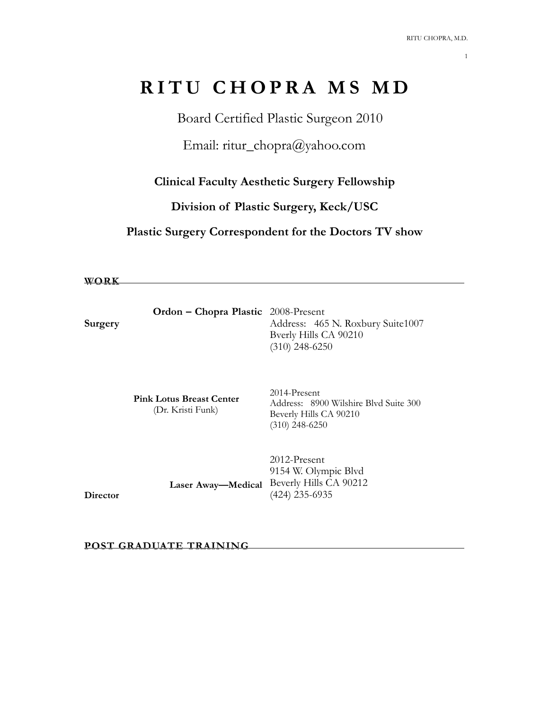# **RITU CHOPRA MS MD**

Board Certified Plastic Surgeon 2010

Email: ritur\_chopra@yahoo.com

**Clinical Faculty Aesthetic Surgery Fellowship** 

**Division of Plastic Surgery, Keck/USC**

**Plastic Surgery Correspondent for the Doctors TV show** 

**WORK**

|         | <b>Ordon – Chopra Plastic</b> 2008-Present |                                   |
|---------|--------------------------------------------|-----------------------------------|
| Surgery |                                            | Address: 465 N. Roxbury Suite1007 |
|         |                                            | Byerly Hills CA 90210             |
|         |                                            | $(310)$ 248-6250                  |

 **Pink Lotus Breast Center** (Dr. Kristi Funk)

2014-Present Address: 8900 Wilshire Blvd Suite 300 Beverly Hills CA 90210 (310) 248-6250

 **Laser Away—Medical**  Beverly Hills CA 90212 2012-Present 9154 W. Olympic Blvd (424) 235-6935

**Director** 

**POST GRADUATE TRAINING**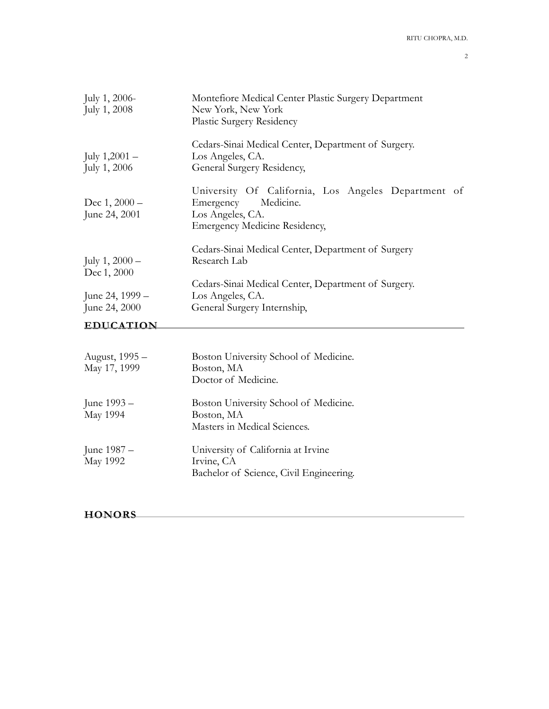| EDUCATION                        |                                                                                                                |
|----------------------------------|----------------------------------------------------------------------------------------------------------------|
| June 24, 1999 –<br>June 24, 2000 | Los Angeles, CA.<br>General Surgery Internship,                                                                |
| Dec 1, 2000                      | Cedars-Sinai Medical Center, Department of Surgery.                                                            |
| July $1,2000-$                   | Cedars-Sinai Medical Center, Department of Surgery<br>Research Lab                                             |
| June 24, 2001                    | Los Angeles, CA.<br><b>Emergency Medicine Residency,</b>                                                       |
| Dec $1,2000-$                    | University Of California, Los Angeles Department of<br>Medicine.<br>Emergency                                  |
| July $1,2001-$<br>July 1, 2006   | Cedars-Sinai Medical Center, Department of Surgery.<br>Los Angeles, CA.<br>General Surgery Residency,          |
| July $1, 2006$<br>July 1, 2008   | Montefiore Medical Center Plastic Surgery Department<br>New York, New York<br><b>Plastic Surgery Residency</b> |

| August, 1995 -  | Boston University School of Medicine.   |
|-----------------|-----------------------------------------|
| May 17, 1999    | Boston, MA                              |
|                 | Doctor of Medicine.                     |
| June 1993 –     | Boston University School of Medicine.   |
| <b>May 1994</b> | Boston, MA                              |
|                 | Masters in Medical Sciences.            |
| June 1987 –     | University of California at Irvine      |
| <b>May 1992</b> | Irvine, CA                              |
|                 | Bachelor of Science, Civil Engineering. |

# **HONORS**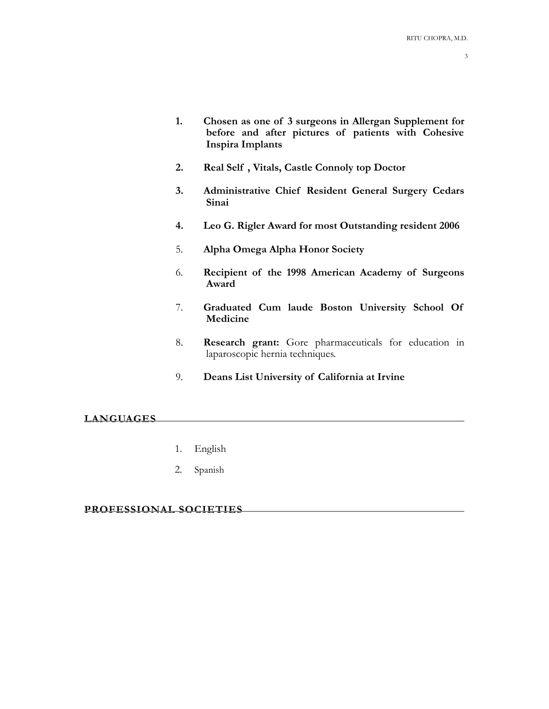- **1. Chosen as one of 3 surgeons in Allergan Supplement for before and after pictures of patients with Cohesive Inspira Implants**
- **2. Real Self , Vitals, Castle Connoly top Doctor**
- **3. Administrative Chief Resident General Surgery Cedars Sinai**
- **4. Leo G. Rigler Award for most Outstanding resident 2006**
- 5. **Alpha Omega Alpha Honor Society**
- 6. **Recipient of the 1998 American Academy of Surgeons Award**
- 7. **Graduated Cum laude Boston University School Of Medicine**
- 8. **Research grant:** Gore pharmaceuticals for education in laparoscopic hernia techniques.
- 9. **Deans List University of California at Irvine**

#### **LANGUAGES**

- 1. English
- 2. Spanish

## **PROFESSIONAL SOCIETIES**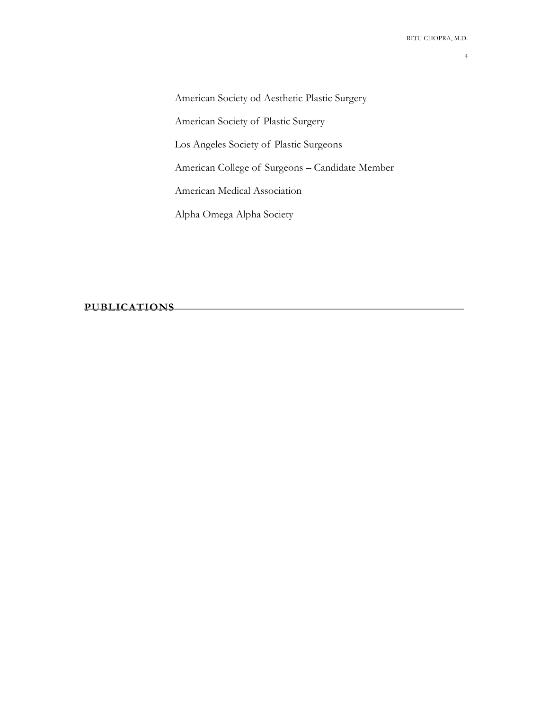American Society od Aesthetic Plastic Surgery American Society of Plastic Surgery Los Angeles Society of Plastic Surgeons American College of Surgeons – Candidate Member American Medical Association Alpha Omega Alpha Society

**PUBLICATIONS**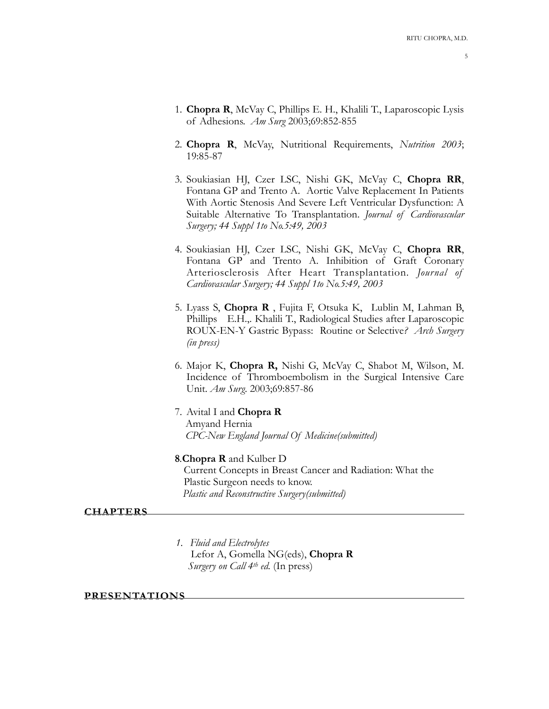- 5
- 1. **Chopra R**, McVay C, Phillips E. H., Khalili T., Laparoscopic Lysis of Adhesions. *Am Surg* 2003;69:852-855
- 2. **Chopra R**, McVay, Nutritional Requirements, *Nutrition 2003*; 19:85-87
- 3. Soukiasian HJ, Czer LSC, Nishi GK, McVay C, **Chopra RR**, Fontana GP and Trento A. Aortic Valve Replacement In Patients With Aortic Stenosis And Severe Left Ventricular Dysfunction: A Suitable Alternative To Transplantation. *Journal of Cardiovascular Surgery; 44 Suppl 1to No.5:49, 2003*
- 4. Soukiasian HJ, Czer LSC, Nishi GK, McVay C, **Chopra RR**, Fontana GP and Trento A. Inhibition of Graft Coronary Arteriosclerosis After Heart Transplantation. *Journal of Cardiovascular Surgery; 44 Suppl 1to No.5:49, 2003*
- 5. Lyass S, **Chopra R** , Fujita F, Otsuka K, Lublin M, Lahman B, Phillips E.H.,. Khalili T., Radiological Studies after Laparoscopic ROUX-EN-Y Gastric Bypass: Routine or Selective*? Arch Surgery (in press)*
- 6. Major K, **Chopra R,** Nishi G, McVay C, Shabot M, Wilson, M. Incidence of Thromboembolism in the Surgical Intensive Care Unit. *Am Surg*. 2003;69:857-86
- 7. Avital I and **Chopra R**  Amyand Hernia *CPC-New England Journal Of Medicine(submitted)*
- **8***.***Chopra R** and Kulber D Current Concepts in Breast Cancer and Radiation: What the Plastic Surgeon needs to know. *Plastic and Reconstructive Surgery(submitted)*

### **CHAPTERS**

*1. Fluid and Electrolytes*  Lefor A, Gomella NG(eds), **Chopra R**  *Surgery on Call 4th ed.* (In press)

#### **PRESENTATIONS**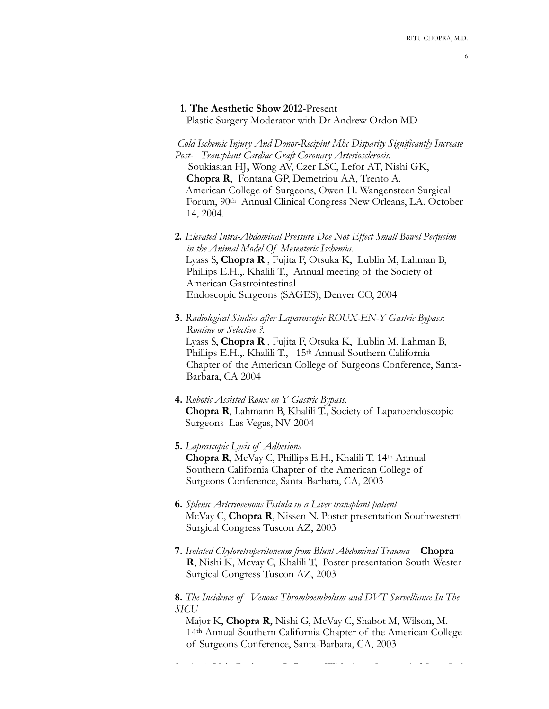#### 6

#### **1. The Aesthetic Show 2012**-Present

Plastic Surgery Moderator with Dr Andrew Ordon MD

 *Cold Ischemic Injury And Donor-Recipint Mhc Disparity Significantly Increase Post- Transplant Cardiac Graft Coronary Arteriosclerosis.* Soukiasian HJ**,** Wong AV, Czer LSC, Lefor AT, Nishi GK, **Chopra R**, Fontana GP, Demetriou AA, Trento A. American College of Surgeons, Owen H. Wangensteen Surgical Forum, 90th Annual Clinical Congress New Orleans, LA. October 14, 2004.

- **2***. Elevated Intra-Abdominal Pressure Doe Not Effect Small Bowel Perfusion in the Animal Model Of Mesenteric Ischemia.* Lyass S, **Chopra R** , Fujita F, Otsuka K, Lublin M, Lahman B, Phillips E.H.,. Khalili T., Annual meeting of the Society of American Gastrointestinal Endoscopic Surgeons (SAGES), Denver CO, 2004
- **3.** *Radiological Studies after Laparoscopic ROUX-EN-Y Gastric Bypass*: *Routine or Selective ?.* Lyass S, **Chopra R** , Fujita F, Otsuka K, Lublin M, Lahman B, Phillips E.H.,. Khalili T., 15<sup>th</sup> Annual Southern California Chapter of the American College of Surgeons Conference, Santa-Barbara, CA 2004
- **4.** *Robotic Assisted Roux en Y Gastric Bypass*.  **Chopra R**, Lahmann B, Khalili T., Society of Laparoendoscopic Surgeons Las Vegas, NV 2004

# **5.** *Laprascopic Lysis of Adhesions*  **Chopra R**, McVay C, Phillips E.H., Khalili T. 14th Annual Southern California Chapter of the American College of Surgeons Conference, Santa-Barbara, CA, 2003

- **6.** *Splenic Arteriovenous Fistula in a Liver transplant patient* McVay C, **Chopra R**, Nissen N. Poster presentation Southwestern Surgical Congress Tuscon AZ, 2003
- **7.** *Isolated Chyloretroperitoneum from Blunt Abdominal Trauma* **Chopra R**, Nishi K, Mcvay C, Khalili T, Poster presentation South Wester Surgical Congress Tuscon AZ, 2003

**8.** *The Incidence of Venous Thromboembolism and DVT Survelliance In The SICU* 

Major K, **Chopra R,** Nishi G, McVay C, Shabot M, Wilson, M. 14th Annual Southern California Chapter of the American College of Surgeons Conference, Santa-Barbara, CA, 2003

**9.** *Aortic Valve Replacement In Patients With Aortic Stenosis And Severe Left*